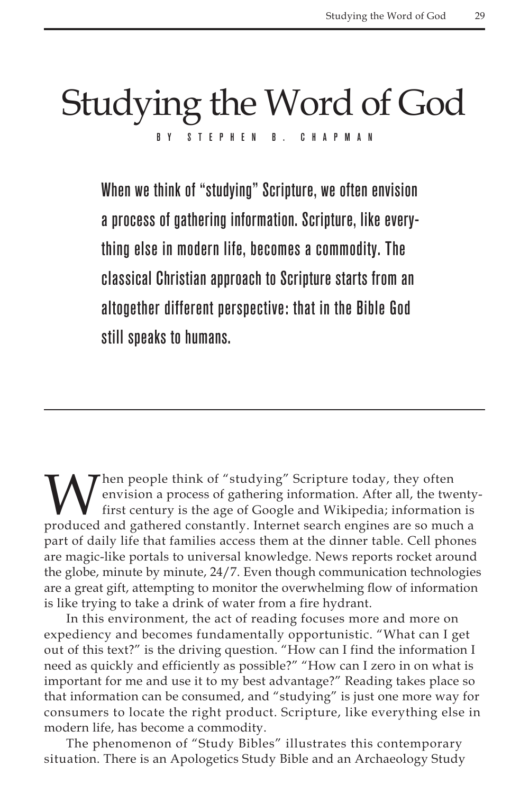## Studying the Word of God BY STEPHEN B. CHAPM

When we think of "studying" Scripture, we often envision a process of gathering information. Scripture, like everything else in modern life, becomes a commodity. The classical Christian approach to Scripture starts from an altogether different perspective: that in the Bible God still speaks to humans.

When people think of "studying" Scripture today, they often<br>envision a process of gathering information. After all, the two<br>first century is the age of Google and Wikipedia; information<br>produced and gathered constantly. In envision a process of gathering information. After all, the twentyfirst century is the age of Google and Wikipedia; information is produced and gathered constantly. Internet search engines are so much a part of daily life that families access them at the dinner table. Cell phones are magic-like portals to universal knowledge. News reports rocket around the globe, minute by minute, 24/7. Even though communication technologies are a great gift, attempting to monitor the overwhelming flow of information is like trying to take a drink of water from a fire hydrant.

In this environment, the act of reading focuses more and more on expediency and becomes fundamentally opportunistic. "What can I get out of this text?" is the driving question. "How can I find the information I need as quickly and efficiently as possible?" "How can I zero in on what is important for me and use it to my best advantage?" Reading takes place so that information can be consumed, and "studying" is just one more way for consumers to locate the right product. Scripture, like everything else in modern life, has become a commodity.

The phenomenon of "Study Bibles" illustrates this contemporary situation. There is an Apologetics Study Bible and an Archaeology Study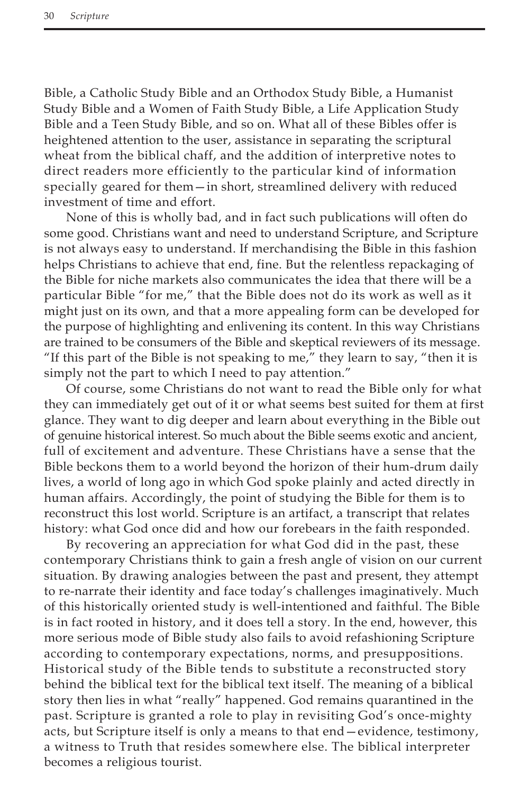Bible, a Catholic Study Bible and an Orthodox Study Bible, a Humanist Study Bible and a Women of Faith Study Bible, a Life Application Study Bible and a Teen Study Bible, and so on. What all of these Bibles offer is heightened attention to the user, assistance in separating the scriptural wheat from the biblical chaff, and the addition of interpretive notes to direct readers more efficiently to the particular kind of information specially geared for them—in short, streamlined delivery with reduced investment of time and effort.

None of this is wholly bad, and in fact such publications will often do some good. Christians want and need to understand Scripture, and Scripture is not always easy to understand. If merchandising the Bible in this fashion helps Christians to achieve that end, fine. But the relentless repackaging of the Bible for niche markets also communicates the idea that there will be a particular Bible "for me," that the Bible does not do its work as well as it might just on its own, and that a more appealing form can be developed for the purpose of highlighting and enlivening its content. In this way Christians are trained to be consumers of the Bible and skeptical reviewers of its message. "If this part of the Bible is not speaking to me," they learn to say, "then it is simply not the part to which I need to pay attention."

Of course, some Christians do not want to read the Bible only for what they can immediately get out of it or what seems best suited for them at first glance. They want to dig deeper and learn about everything in the Bible out of genuine historical interest. So much about the Bible seems exotic and ancient, full of excitement and adventure. These Christians have a sense that the Bible beckons them to a world beyond the horizon of their hum-drum daily lives, a world of long ago in which God spoke plainly and acted directly in human affairs. Accordingly, the point of studying the Bible for them is to reconstruct this lost world. Scripture is an artifact, a transcript that relates history: what God once did and how our forebears in the faith responded.

By recovering an appreciation for what God did in the past, these contemporary Christians think to gain a fresh angle of vision on our current situation. By drawing analogies between the past and present, they attempt to re-narrate their identity and face today's challenges imaginatively. Much of this historically oriented study is well-intentioned and faithful. The Bible is in fact rooted in history, and it does tell a story. In the end, however, this more serious mode of Bible study also fails to avoid refashioning Scripture according to contemporary expectations, norms, and presuppositions. Historical study of the Bible tends to substitute a reconstructed story behind the biblical text for the biblical text itself. The meaning of a biblical story then lies in what "really" happened. God remains quarantined in the past. Scripture is granted a role to play in revisiting God's once-mighty acts, but Scripture itself is only a means to that end—evidence, testimony, a witness to Truth that resides somewhere else. The biblical interpreter becomes a religious tourist.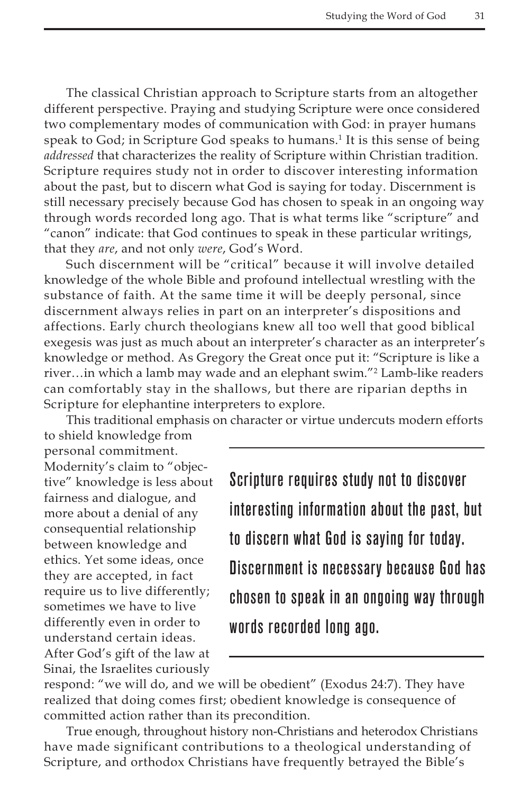The classical Christian approach to Scripture starts from an altogether different perspective. Praying and studying Scripture were once considered two complementary modes of communication with God: in prayer humans speak to God; in Scripture God speaks to humans.<sup>1</sup> It is this sense of being *addressed* that characterizes the reality of Scripture within Christian tradition. Scripture requires study not in order to discover interesting information about the past, but to discern what God is saying for today. Discernment is still necessary precisely because God has chosen to speak in an ongoing way through words recorded long ago. That is what terms like "scripture" and "canon" indicate: that God continues to speak in these particular writings, that they *are*, and not only *were*, God's Word.

Such discernment will be "critical" because it will involve detailed knowledge of the whole Bible and profound intellectual wrestling with the substance of faith. At the same time it will be deeply personal, since discernment always relies in part on an interpreter's dispositions and affections. Early church theologians knew all too well that good biblical exegesis was just as much about an interpreter's character as an interpreter's knowledge or method. As Gregory the Great once put it: "Scripture is like a river…in which a lamb may wade and an elephant swim."2 Lamb-like readers can comfortably stay in the shallows, but there are riparian depths in Scripture for elephantine interpreters to explore.

This traditional emphasis on character or virtue undercuts modern efforts

to shield knowledge from personal commitment. Modernity's claim to "objective" knowledge is less about fairness and dialogue, and more about a denial of any consequential relationship between knowledge and ethics. Yet some ideas, once they are accepted, in fact require us to live differently; sometimes we have to live differently even in order to understand certain ideas. After God's gift of the law at Sinai, the Israelites curiously

Scripture requires study not to discover interesting information about the past, but to discern what God is saying for today. Discernment is necessary because God has chosen to speak in an ongoing way through words recorded long ago.

respond: "we will do, and we will be obedient" (Exodus 24:7). They have realized that doing comes first; obedient knowledge is consequence of committed action rather than its precondition.

True enough, throughout history non-Christians and heterodox Christians have made significant contributions to a theological understanding of Scripture, and orthodox Christians have frequently betrayed the Bible's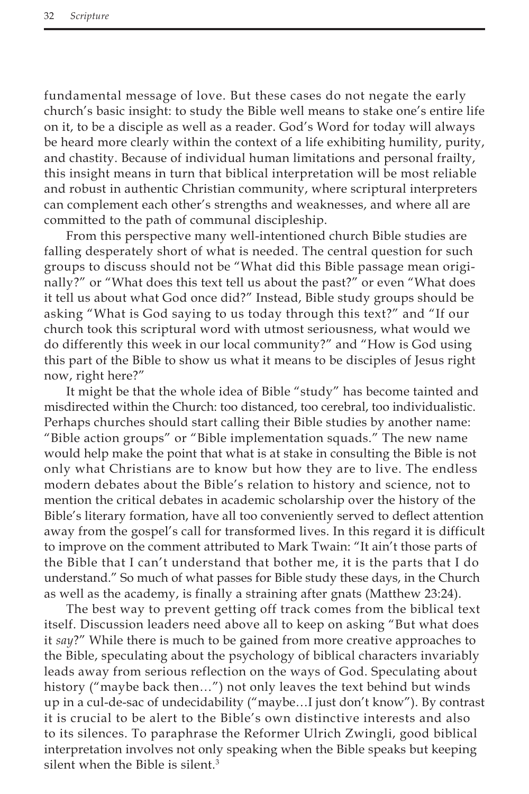fundamental message of love. But these cases do not negate the early church's basic insight: to study the Bible well means to stake one's entire life on it, to be a disciple as well as a reader. God's Word for today will always be heard more clearly within the context of a life exhibiting humility, purity, and chastity. Because of individual human limitations and personal frailty, this insight means in turn that biblical interpretation will be most reliable and robust in authentic Christian community, where scriptural interpreters can complement each other's strengths and weaknesses, and where all are committed to the path of communal discipleship.

From this perspective many well-intentioned church Bible studies are falling desperately short of what is needed. The central question for such groups to discuss should not be "What did this Bible passage mean originally?" or "What does this text tell us about the past?" or even "What does it tell us about what God once did?" Instead, Bible study groups should be asking "What is God saying to us today through this text?" and "If our church took this scriptural word with utmost seriousness, what would we do differently this week in our local community?" and "How is God using this part of the Bible to show us what it means to be disciples of Jesus right now, right here?"

It might be that the whole idea of Bible "study" has become tainted and misdirected within the Church: too distanced, too cerebral, too individualistic. Perhaps churches should start calling their Bible studies by another name: "Bible action groups" or "Bible implementation squads." The new name would help make the point that what is at stake in consulting the Bible is not only what Christians are to know but how they are to live. The endless modern debates about the Bible's relation to history and science, not to mention the critical debates in academic scholarship over the history of the Bible's literary formation, have all too conveniently served to deflect attention away from the gospel's call for transformed lives. In this regard it is difficult to improve on the comment attributed to Mark Twain: "It ain't those parts of the Bible that I can't understand that bother me, it is the parts that I do understand." So much of what passes for Bible study these days, in the Church as well as the academy, is finally a straining after gnats (Matthew 23:24).

The best way to prevent getting off track comes from the biblical text itself. Discussion leaders need above all to keep on asking "But what does it *say*?" While there is much to be gained from more creative approaches to the Bible, speculating about the psychology of biblical characters invariably leads away from serious reflection on the ways of God. Speculating about history ("maybe back then…") not only leaves the text behind but winds up in a cul-de-sac of undecidability ("maybe…I just don't know"). By contrast it is crucial to be alert to the Bible's own distinctive interests and also to its silences. To paraphrase the Reformer Ulrich Zwingli, good biblical interpretation involves not only speaking when the Bible speaks but keeping silent when the Bible is silent.<sup>3</sup>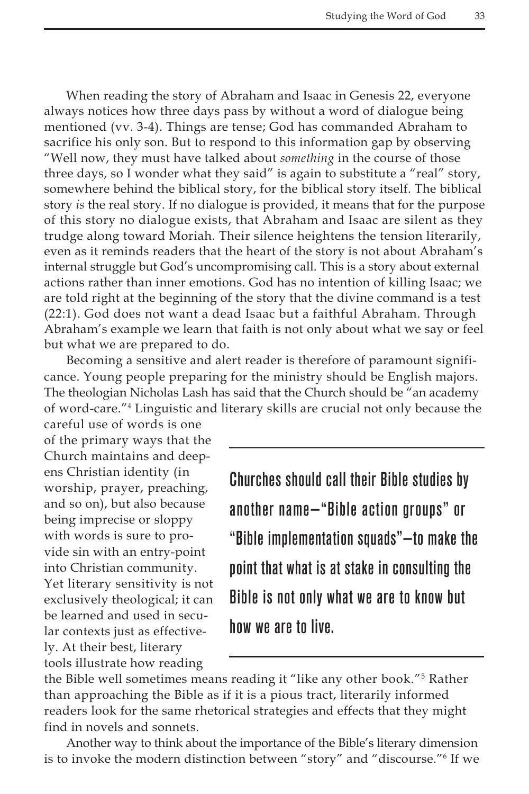When reading the story of Abraham and Isaac in Genesis 22, everyone always notices how three days pass by without a word of dialogue being mentioned (vv. 3-4). Things are tense; God has commanded Abraham to sacrifice his only son. But to respond to this information gap by observing "Well now, they must have talked about *something* in the course of those three days, so I wonder what they said" is again to substitute a "real" story, somewhere behind the biblical story, for the biblical story itself. The biblical story *is* the real story. If no dialogue is provided, it means that for the purpose of this story no dialogue exists, that Abraham and Isaac are silent as they trudge along toward Moriah. Their silence heightens the tension literarily, even as it reminds readers that the heart of the story is not about Abraham's internal struggle but God's uncompromising call. This is a story about external actions rather than inner emotions. God has no intention of killing Isaac; we are told right at the beginning of the story that the divine command is a test (22:1). God does not want a dead Isaac but a faithful Abraham. Through Abraham's example we learn that faith is not only about what we say or feel but what we are prepared to do.

Becoming a sensitive and alert reader is therefore of paramount significance. Young people preparing for the ministry should be English majors. The theologian Nicholas Lash has said that the Church should be "an academy of word-care."4 Linguistic and literary skills are crucial not only because the

careful use of words is one of the primary ways that the Church maintains and deepens Christian identity (in worship, prayer, preaching, and so on), but also because being imprecise or sloppy with words is sure to provide sin with an entry-point into Christian community. Yet literary sensitivity is not exclusively theological; it can be learned and used in secular contexts just as effectively. At their best, literary tools illustrate how reading

Churches should call their Bible studies by another name—"Bible action groups" or "Bible implementation squads"—to make the point that what is at stake in consulting the Bible is not only what we are to know but how we are to live.

the Bible well sometimes means reading it "like any other book."5 Rather than approaching the Bible as if it is a pious tract, literarily informed readers look for the same rhetorical strategies and effects that they might find in novels and sonnets.

Another way to think about the importance of the Bible's literary dimension is to invoke the modern distinction between "story" and "discourse."6 If we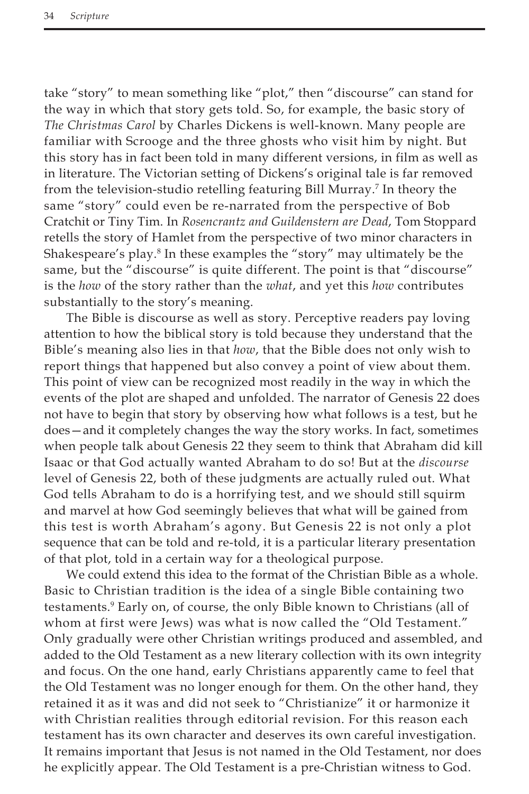take "story" to mean something like "plot," then "discourse" can stand for the way in which that story gets told. So, for example, the basic story of *The Christmas Carol* by Charles Dickens is well-known. Many people are familiar with Scrooge and the three ghosts who visit him by night. But this story has in fact been told in many different versions, in film as well as in literature. The Victorian setting of Dickens's original tale is far removed from the television-studio retelling featuring Bill Murray.7 In theory the same "story" could even be re-narrated from the perspective of Bob Cratchit or Tiny Tim. In *Rosencrantz and Guildenstern are Dead*, Tom Stoppard retells the story of Hamlet from the perspective of two minor characters in Shakespeare's play.<sup>8</sup> In these examples the "story" may ultimately be the same, but the "discourse" is quite different. The point is that "discourse" is the *how* of the story rather than the *what*, and yet this *how* contributes substantially to the story's meaning.

The Bible is discourse as well as story. Perceptive readers pay loving attention to how the biblical story is told because they understand that the Bible's meaning also lies in that *how*, that the Bible does not only wish to report things that happened but also convey a point of view about them. This point of view can be recognized most readily in the way in which the events of the plot are shaped and unfolded. The narrator of Genesis 22 does not have to begin that story by observing how what follows is a test, but he does—and it completely changes the way the story works. In fact, sometimes when people talk about Genesis 22 they seem to think that Abraham did kill Isaac or that God actually wanted Abraham to do so! But at the *discourse* level of Genesis 22, both of these judgments are actually ruled out. What God tells Abraham to do is a horrifying test, and we should still squirm and marvel at how God seemingly believes that what will be gained from this test is worth Abraham's agony. But Genesis 22 is not only a plot sequence that can be told and re-told, it is a particular literary presentation of that plot, told in a certain way for a theological purpose.

We could extend this idea to the format of the Christian Bible as a whole. Basic to Christian tradition is the idea of a single Bible containing two testaments.9 Early on, of course, the only Bible known to Christians (all of whom at first were Jews) was what is now called the "Old Testament." Only gradually were other Christian writings produced and assembled, and added to the Old Testament as a new literary collection with its own integrity and focus. On the one hand, early Christians apparently came to feel that the Old Testament was no longer enough for them. On the other hand, they retained it as it was and did not seek to "Christianize" it or harmonize it with Christian realities through editorial revision. For this reason each testament has its own character and deserves its own careful investigation. It remains important that Jesus is not named in the Old Testament, nor does he explicitly appear. The Old Testament is a pre-Christian witness to God.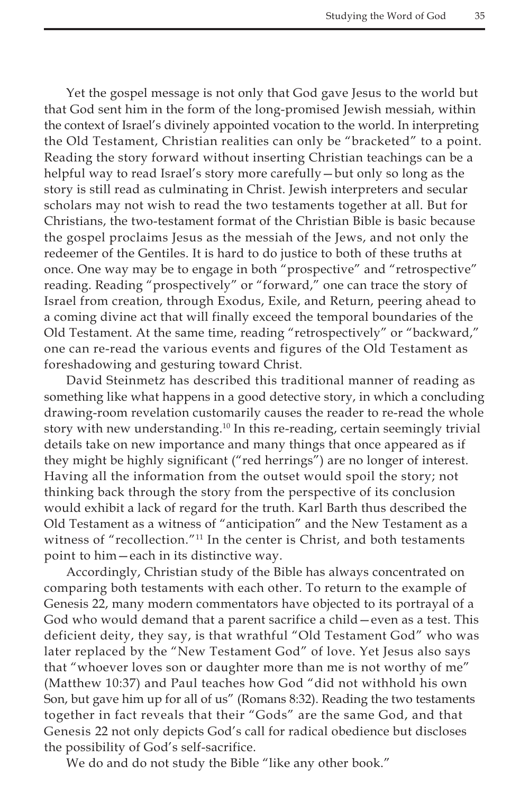Yet the gospel message is not only that God gave Jesus to the world but that God sent him in the form of the long-promised Jewish messiah, within the context of Israel's divinely appointed vocation to the world. In interpreting the Old Testament, Christian realities can only be "bracketed" to a point. Reading the story forward without inserting Christian teachings can be a helpful way to read Israel's story more carefully—but only so long as the story is still read as culminating in Christ. Jewish interpreters and secular scholars may not wish to read the two testaments together at all. But for Christians, the two-testament format of the Christian Bible is basic because the gospel proclaims Jesus as the messiah of the Jews, and not only the redeemer of the Gentiles. It is hard to do justice to both of these truths at once. One way may be to engage in both "prospective" and "retrospective" reading. Reading "prospectively" or "forward," one can trace the story of Israel from creation, through Exodus, Exile, and Return, peering ahead to a coming divine act that will finally exceed the temporal boundaries of the Old Testament. At the same time, reading "retrospectively" or "backward," one can re-read the various events and figures of the Old Testament as foreshadowing and gesturing toward Christ.

David Steinmetz has described this traditional manner of reading as something like what happens in a good detective story, in which a concluding drawing-room revelation customarily causes the reader to re-read the whole story with new understanding.<sup>10</sup> In this re-reading, certain seemingly trivial details take on new importance and many things that once appeared as if they might be highly significant ("red herrings") are no longer of interest. Having all the information from the outset would spoil the story; not thinking back through the story from the perspective of its conclusion would exhibit a lack of regard for the truth. Karl Barth thus described the Old Testament as a witness of "anticipation" and the New Testament as a witness of "recollection."11 In the center is Christ, and both testaments point to him—each in its distinctive way.

Accordingly, Christian study of the Bible has always concentrated on comparing both testaments with each other. To return to the example of Genesis 22, many modern commentators have objected to its portrayal of a God who would demand that a parent sacrifice a child—even as a test. This deficient deity, they say, is that wrathful "Old Testament God" who was later replaced by the "New Testament God" of love. Yet Jesus also says that "whoever loves son or daughter more than me is not worthy of me" (Matthew 10:37) and Paul teaches how God "did not withhold his own Son, but gave him up for all of us" (Romans 8:32). Reading the two testaments together in fact reveals that their "Gods" are the same God, and that Genesis 22 not only depicts God's call for radical obedience but discloses the possibility of God's self-sacrifice.

We do and do not study the Bible "like any other book."